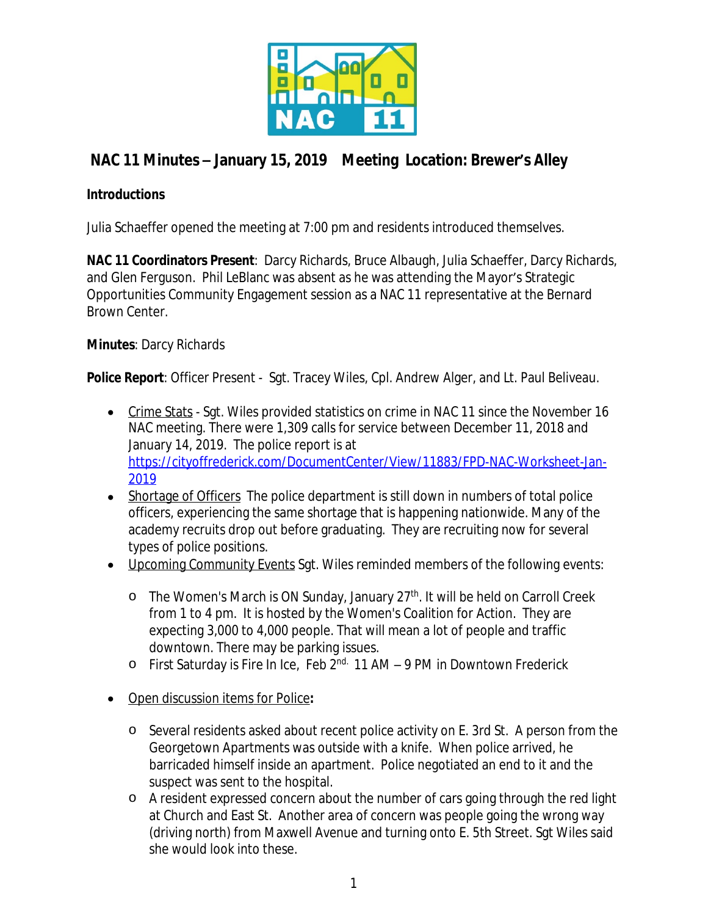

# **NAC 11 Minutes – January 15, 2019 Meeting Location: Brewer's Alley**

### **Introductions**

Julia Schaeffer opened the meeting at 7:00 pm and residents introduced themselves.

**NAC 11 Coordinators Present**: Darcy Richards, Bruce Albaugh, Julia Schaeffer, Darcy Richards, and Glen Ferguson. Phil LeBlanc was absent as he was attending the Mayor's Strategic Opportunities Community Engagement session as a NAC 11 representative at the Bernard Brown Center.

## **Minutes**: Darcy Richards

**Police Report**: Officer Present - Sgt. Tracey Wiles, Cpl. Andrew Alger, and Lt. Paul Beliveau.

- Crime Stats Sgt. Wiles provided statistics on crime in NAC 11 since the November 16 NAC meeting. There were 1,309 calls for service between December 11, 2018 and January 14, 2019. The police report is at [https://cityoffrederick.com/DocumentCenter/View/11883/FPD-NAC-Worksheet-Jan-](https://cityoffrederick.com/DocumentCenter/View/11883/FPD-NAC-Worksheet-Jan-2019)2019
- Shortage of Officers The police department is still down in numbers of total police officers, experiencing the same shortage that is happening nationwide. Many of the academy recruits drop out before graduating. They are recruiting now for several types of police positions.
- Upcoming Community Events Sgt. Wiles reminded members of the following events:
	- o The Women's March is ON Sunday, January 27<sup>th</sup>. It will be held on Carroll Creek from 1 to 4 pm. It is hosted by the Women's Coalition for Action. They are expecting 3,000 to 4,000 people. That will mean a lot of people and traffic downtown. There may be parking issues.
	- o First Saturday is Fire In Ice, Feb 2nd. 11 AM 9 PM in Downtown Frederick
- Open discussion items for Police**:**
	- o Several residents asked about recent police activity on E. 3rd St. A person from the Georgetown Apartments was outside with a knife. When police arrived, he barricaded himself inside an apartment. Police negotiated an end to it and the suspect was sent to the hospital.
	- o A resident expressed concern about the number of cars going through the red light at Church and East St. Another area of concern was people going the wrong way (driving north) from Maxwell Avenue and turning onto E. 5th Street. Sgt Wiles said she would look into these.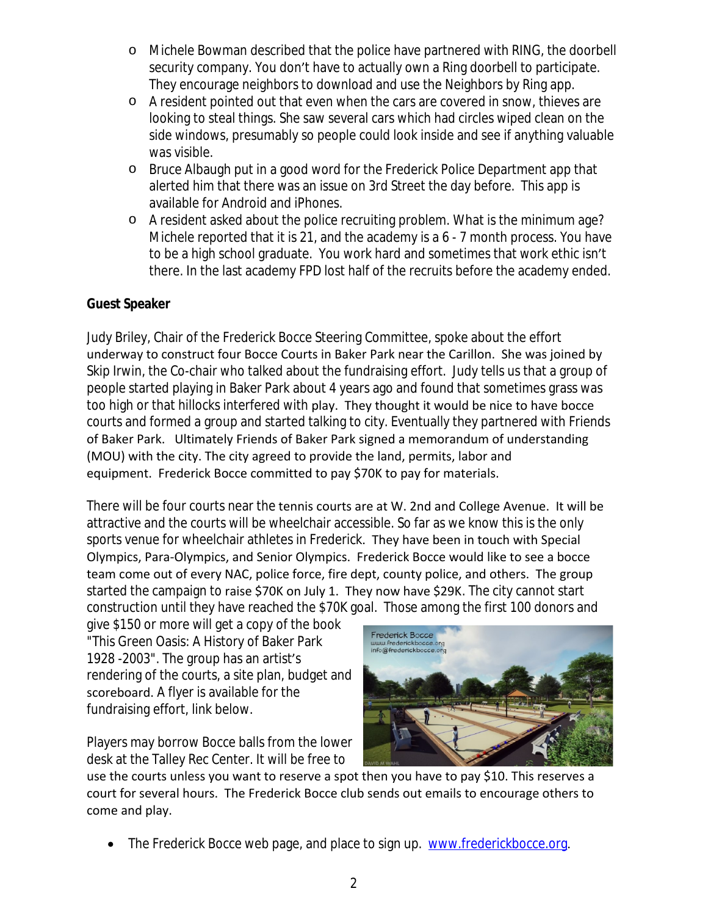- o Michele Bowman described that the police have partnered with RING, the doorbell security company. You don't have to actually own a Ring doorbell to participate. They encourage neighbors to download and use the Neighbors by Ring app.
- o A resident pointed out that even when the cars are covered in snow, thieves are looking to steal things. She saw several cars which had circles wiped clean on the side windows, presumably so people could look inside and see if anything valuable was visible.
- o Bruce Albaugh put in a good word for the Frederick Police Department app that alerted him that there was an issue on 3rd Street the day before. This app is available for Android and iPhones.
- o A resident asked about the police recruiting problem. What is the minimum age? Michele reported that it is 21, and the academy is a 6 - 7 month process. You have to be a high school graduate. You work hard and sometimes that work ethic isn't there. In the last academy FPD lost half of the recruits before the academy ended.

## **Guest Speaker**

Judy Briley, Chair of the Frederick Bocce Steering Committee, spoke about the effort underway to construct four Bocce Courts in Baker Park near the Carillon. She was joined by Skip Irwin, the Co-chair who talked about the fundraising effort. Judy tells us that a group of people started playing in Baker Park about 4 years ago and found that sometimes grass was too high or that hillocks interfered with play. They thought it would be nice to have bocce courts and formed a group and started talking to city. Eventually they partnered with Friends of Baker Park. Ultimately Friends of Baker Park signed a memorandum of understanding (MOU) with the city. The city agreed to provide the land, permits, labor and equipment. Frederick Bocce committed to pay \$70K to pay for materials.

There will be four courts near the tennis courts are at W. 2nd and College Avenue. It will be attractive and the courts will be wheelchair accessible. So far as we know this is the only sports venue for wheelchair athletes in Frederick. They have been in touch with Special Olympics, Para-Olympics, and Senior Olympics. Frederick Bocce would like to see a bocce team come out of every NAC, police force, fire dept, county police, and others. The group started the campaign to raise \$70K on July 1. They now have \$29K. The city cannot start construction until they have reached the \$70K goal. Those among the first 100 donors and

give \$150 or more will get a copy of the book "This Green Oasis: A History of Baker Park 1928 -2003". The group has an artist's rendering of the courts, a site plan, budget and scoreboard. A flyer is available for the fundraising effort, link below.

Players may borrow Bocce balls from the lower desk at the Talley Rec Center. It will be free to



use the courts unless you want to reserve a spot then you have to pay \$10. This reserves a court for several hours. The Frederick Bocce club sends out emails to encourage others to come and play.

• The Frederick Bocce web page, and place to sign up. [www.frederickbocce.org](http://www.frederickbocce.org).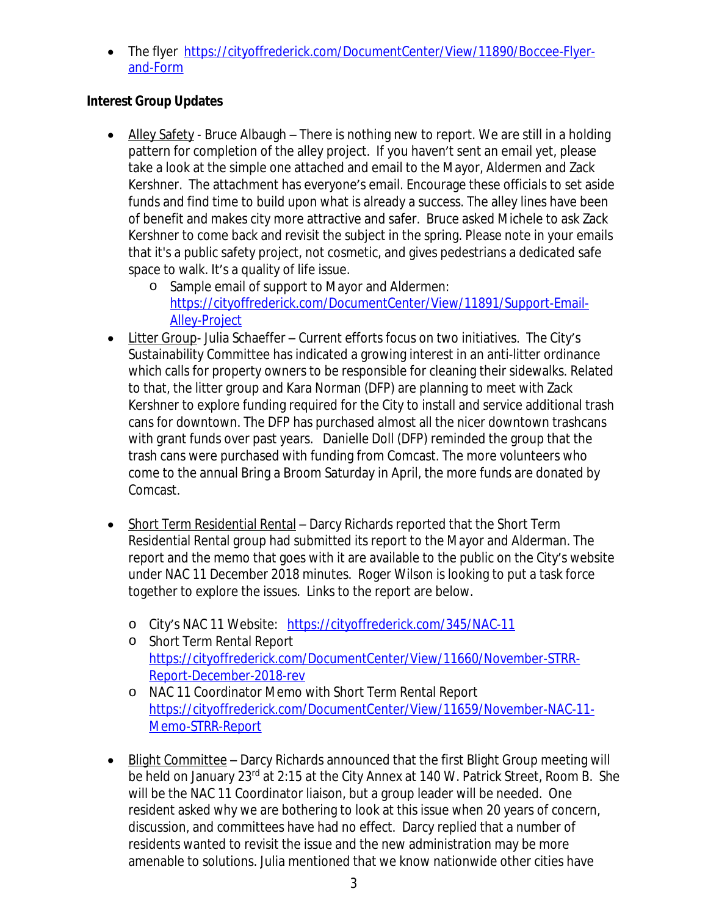• The flyer [https://cityoffrederick.com/DocumentCenter/View/11890/Boccee-Flyer](https://cityoffrederick.com/DocumentCenter/View/11890/Boccee-Flyer-and-Form)and-Form

## **Interest Group Updates**

- Alley Safety Bruce Albaugh There is nothing new to report. We are still in a holding pattern for completion of the alley project. If you haven't sent an email yet, please take a look at the simple one attached and email to the Mayor, Aldermen and Zack Kershner. The attachment has everyone's email. Encourage these officials to set aside funds and find time to build upon what is already a success. The alley lines have been of benefit and makes city more attractive and safer. Bruce asked Michele to ask Zack Kershner to come back and revisit the subject in the spring. Please note in your emails that it's a public safety project, not cosmetic, and gives pedestrians a dedicated safe space to walk. It's a quality of life issue.
	- o Sample email of support to Mayor and Aldermen: [https://cityoffrederick.com/DocumentCenter/View/11891/Support-Email-](https://cityoffrederick.com/DocumentCenter/View/11891/Support-Email-Alley-Project)Alley-Project
- Litter Group- Julia Schaeffer Current efforts focus on two initiatives. The City's Sustainability Committee has indicated a growing interest in an anti-litter ordinance which calls for property owners to be responsible for cleaning their sidewalks. Related to that, the litter group and Kara Norman (DFP) are planning to meet with Zack Kershner to explore funding required for the City to install and service additional trash cans for downtown. The DFP has purchased almost all the nicer downtown trashcans with grant funds over past years. Danielle Doll (DFP) reminded the group that the trash cans were purchased with funding from Comcast. The more volunteers who come to the annual Bring a Broom Saturday in April, the more funds are donated by Comcast.
- Short Term Residential Rental Darcy Richards reported that the Short Term Residential Rental group had submitted its report to the Mayor and Alderman. The report and the memo that goes with it are available to the public on the City's website under NAC 11 December 2018 minutes. Roger Wilson is looking to put a task force together to explore the issues. Links to the report are below.
	- o City's NAC 11 Website: <https://cityoffrederick.com/345/NAC-11>
	- o Short Term Rental Report [https://cityoffrederick.com/DocumentCenter/View/11660/November-STRR-](https://cityoffrederick.com/DocumentCenter/View/11660/November-STRR-Report-December-2018-rev)Report-December-2018-rev
	- o NAC 11 Coordinator Memo with Short Term Rental Report [https://cityoffrederick.com/DocumentCenter/View/11659/November-NAC-11-](https://cityoffrederick.com/DocumentCenter/View/11659/November-NAC-11-Memo-STRR-Report) Memo-STRR-Report
- Blight Committee Darcy Richards announced that the first Blight Group meeting will be held on January 23rd at 2:15 at the City Annex at 140 W. Patrick Street, Room B. She will be the NAC 11 Coordinator liaison, but a group leader will be needed. One resident asked why we are bothering to look at this issue when 20 years of concern, discussion, and committees have had no effect. Darcy replied that a number of residents wanted to revisit the issue and the new administration may be more amenable to solutions. Julia mentioned that we know nationwide other cities have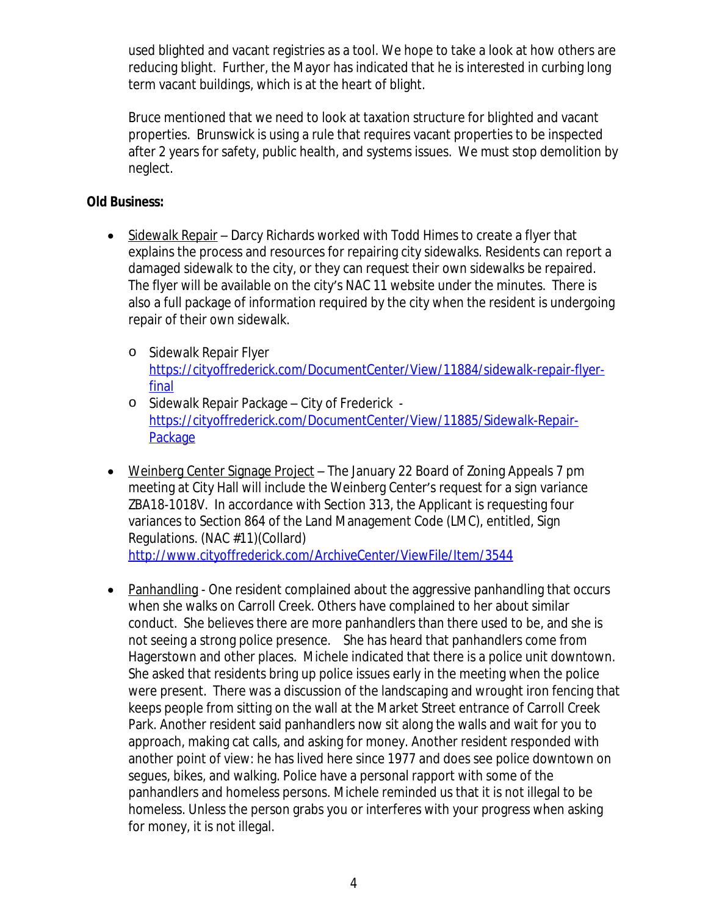used blighted and vacant registries as a tool. We hope to take a look at how others are reducing blight. Further, the Mayor has indicated that he is interested in curbing long term vacant buildings, which is at the heart of blight.

Bruce mentioned that we need to look at taxation structure for blighted and vacant properties. Brunswick is using a rule that requires vacant properties to be inspected after 2 years for safety, public health, and systems issues. We must stop demolition by neglect.

#### **Old Business:**

- Sidewalk Repair Darcy Richards worked with Todd Himes to create a flyer that explains the process and resources for repairing city sidewalks. Residents can report a damaged sidewalk to the city, or they can request their own sidewalks be repaired. The flyer will be available on the city's NAC 11 website under the minutes. There is also a full package of information required by the city when the resident is undergoing repair of their own sidewalk.
	- o Sidewalk Repair Flyer [https://cityoffrederick.com/DocumentCenter/View/11884/sidewalk-repair-flyer](https://cityoffrederick.com/DocumentCenter/View/11884/sidewalk-repair-flyer-final)final
	- o Sidewalk Repair Package City of Frederick [https://cityoffrederick.com/DocumentCenter/View/11885/Sidewalk-Repair-](https://cityoffrederick.com/DocumentCenter/View/11885/Sidewalk-Repair-Package)**Package**
- Weinberg Center Signage Project The January 22 Board of Zoning Appeals 7 pm meeting at City Hall will include the Weinberg Center's request for a sign variance ZBA18-1018V. In accordance with Section 313, the Applicant is requesting four variances to Section 864 of the Land Management Code (LMC), entitled, Sign Regulations. (NAC #11)(Collard) <http://www.cityoffrederick.com/ArchiveCenter/ViewFile/Item/3544>
- Panhandling One resident complained about the aggressive panhandling that occurs when she walks on Carroll Creek. Others have complained to her about similar conduct. She believes there are more panhandlers than there used to be, and she is not seeing a strong police presence. She has heard that panhandlers come from Hagerstown and other places. Michele indicated that there is a police unit downtown. She asked that residents bring up police issues early in the meeting when the police were present. There was a discussion of the landscaping and wrought iron fencing that keeps people from sitting on the wall at the Market Street entrance of Carroll Creek Park. Another resident said panhandlers now sit along the walls and wait for you to approach, making cat calls, and asking for money. Another resident responded with another point of view: he has lived here since 1977 and does see police downtown on segues, bikes, and walking. Police have a personal rapport with some of the panhandlers and homeless persons. Michele reminded us that it is not illegal to be homeless. Unless the person grabs you or interferes with your progress when asking for money, it is not illegal.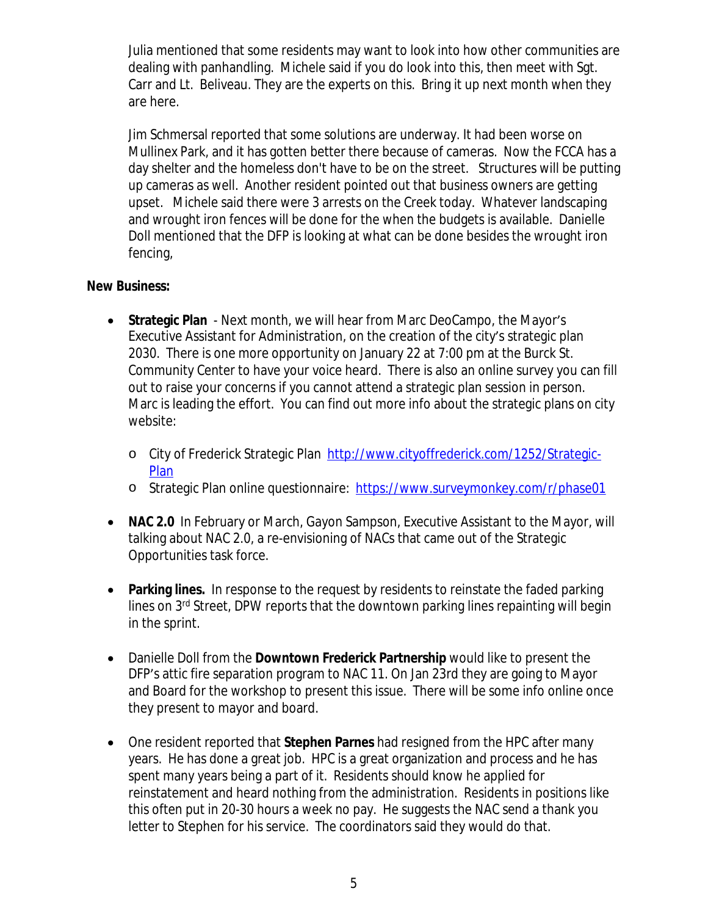Julia mentioned that some residents may want to look into how other communities are dealing with panhandling. Michele said if you do look into this, then meet with Sgt. Carr and Lt. Beliveau. They are the experts on this. Bring it up next month when they are here.

Jim Schmersal reported that some solutions are underway. It had been worse on Mullinex Park, and it has gotten better there because of cameras. Now the FCCA has a day shelter and the homeless don't have to be on the street. Structures will be putting up cameras as well. Another resident pointed out that business owners are getting upset. Michele said there were 3 arrests on the Creek today. Whatever landscaping and wrought iron fences will be done for the when the budgets is available. Danielle Doll mentioned that the DFP is looking at what can be done besides the wrought iron fencing,

#### **New Business:**

- **Strategic Plan** Next month, we will hear from Marc DeoCampo, the Mayor's Executive Assistant for Administration, on the creation of the city's strategic plan 2030. There is one more opportunity on January 22 at 7:00 pm at the Burck St. Community Center to have your voice heard. There is also an online survey you can fill out to raise your concerns if you cannot attend a strategic plan session in person. Marc is leading the effort. You can find out more info about the strategic plans on city website:
	- o City of Frederick Strategic Plan [http://www.cityoffrederick.com/1252/Strategic-](http://www.cityoffrederick.com/1252/Strategic-Plan)**Plan**
	- o Strategic Plan online questionnaire: <https://www.surveymonkey.com/r/phase01>
- **NAC 2.0** In February or March, Gayon Sampson, Executive Assistant to the Mayor, will talking about NAC 2.0, a re-envisioning of NACs that came out of the Strategic Opportunities task force.
- **Parking lines.** In response to the request by residents to reinstate the faded parking lines on 3rd Street, DPW reports that the downtown parking lines repainting will begin in the sprint.
- Danielle Doll from the **Downtown Frederick Partnership** would like to present the DFP's attic fire separation program to NAC 11. On Jan 23rd they are going to Mayor and Board for the workshop to present this issue. There will be some info online once they present to mayor and board.
- One resident reported that **Stephen Parnes** had resigned from the HPC after many years. He has done a great job. HPC is a great organization and process and he has spent many years being a part of it. Residents should know he applied for reinstatement and heard nothing from the administration. Residents in positions like this often put in 20-30 hours a week no pay. He suggests the NAC send a thank you letter to Stephen for his service. The coordinators said they would do that.